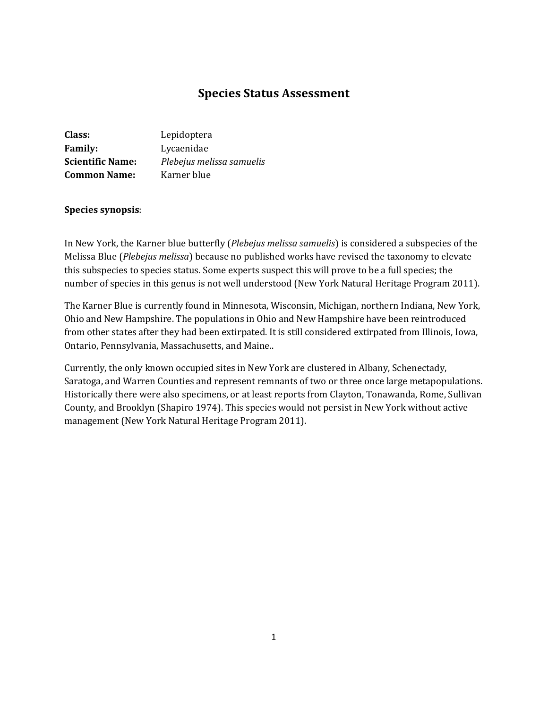# **Species Status Assessment**

| Class:                  | Lepidoptera               |
|-------------------------|---------------------------|
| <b>Family:</b>          | Lycaenidae                |
| <b>Scientific Name:</b> | Plebejus melissa samuelis |
| <b>Common Name:</b>     | Karner blue               |

#### **Species synopsis**:

In New York, the Karner blue butterfly (*Plebejus melissa samuelis*) is considered a subspecies of the Melissa Blue (*Plebejus melissa*) because no published works have revised the taxonomy to elevate this subspecies to species status. Some experts suspect this will prove to be a full species; the number of species in this genus is not well understood (New York Natural Heritage Program 2011).

The Karner Blue is currently found in Minnesota, Wisconsin, Michigan, northern Indiana, New York, Ohio and New Hampshire. The populations in Ohio and New Hampshire have been reintroduced from other states after they had been extirpated. It is still considered extirpated from Illinois, Iowa, Ontario, Pennsylvania, Massachusetts, and Maine..

Currently, the only known occupied sites in New York are clustered in Albany, Schenectady, Saratoga, and Warren Counties and represent remnants of two or three once large metapopulations. Historically there were also specimens, or at least reports from Clayton, Tonawanda, Rome, Sullivan County, and Brooklyn (Shapiro 1974). This species would not persist in New York without active management (New York Natural Heritage Program 2011).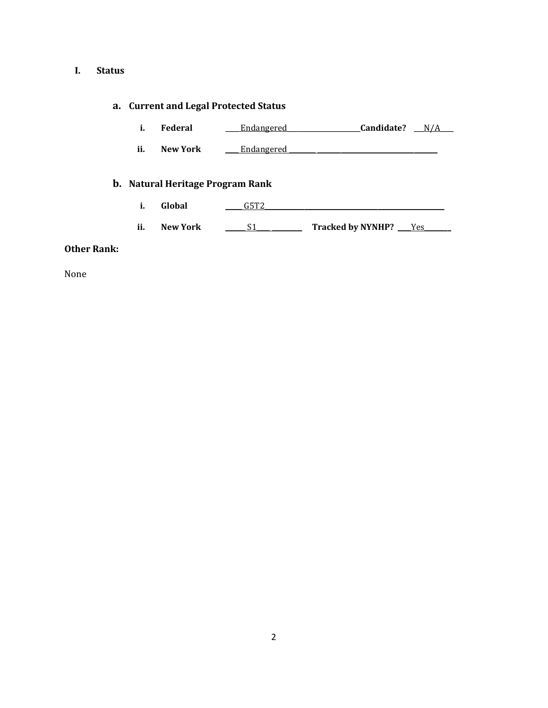# **I. Status**

# **a. Current and Legal Protected Status**

| Federal | Endangered | Candidate? | N/A |
|---------|------------|------------|-----|
|         |            |            |     |

ii. New York <u>Lindangered</u>

# **b. Natural Heritage Program Rank**

- **i. Global** \_\_\_\_\_ G5T2\_\_\_\_\_\_\_\_\_\_\_\_\_\_\_\_\_\_\_\_\_\_\_\_\_\_\_\_\_\_\_\_\_\_\_\_\_\_\_\_\_\_\_\_\_\_\_\_\_\_\_\_\_\_
- **ii. New York** \_\_\_\_\_\_ S1\_\_\_\_ \_\_\_\_\_\_\_\_\_ **Tracked by NYNHP?** \_\_\_\_Yes\_\_\_\_\_\_\_\_

### **Other Rank:**

None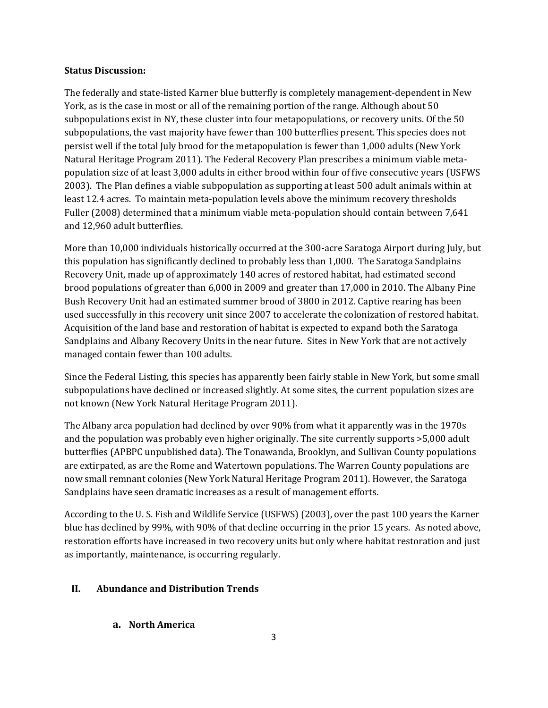#### **Status Discussion:**

The federally and state-listed Karner blue butterfly is completely management-dependent in New York, as is the case in most or all of the remaining portion of the range. Although about 50 subpopulations exist in NY, these cluster into four metapopulations, or recovery units. Of the 50 subpopulations, the vast majority have fewer than 100 butterflies present. This species does not persist well if the total July brood for the metapopulation is fewer than 1,000 adults (New York Natural Heritage Program 2011). The Federal Recovery Plan prescribes a minimum viable metapopulation size of at least 3,000 adults in either brood within four of five consecutive years (USFWS 2003). The Plan defines a viable subpopulation as supporting at least 500 adult animals within at least 12.4 acres. To maintain meta-population levels above the minimum recovery thresholds Fuller (2008) determined that a minimum viable meta-population should contain between 7,641 and 12,960 adult butterflies.

More than 10,000 individuals historically occurred at the 300-acre Saratoga Airport during July, but this population has significantly declined to probably less than 1,000. The Saratoga Sandplains Recovery Unit, made up of approximately 140 acres of restored habitat, had estimated second brood populations of greater than 6,000 in 2009 and greater than 17,000 in 2010. The Albany Pine Bush Recovery Unit had an estimated summer brood of 3800 in 2012. Captive rearing has been used successfully in this recovery unit since 2007 to accelerate the colonization of restored habitat. Acquisition of the land base and restoration of habitat is expected to expand both the Saratoga Sandplains and Albany Recovery Units in the near future. Sites in New York that are not actively managed contain fewer than 100 adults.

Since the Federal Listing, this species has apparently been fairly stable in New York, but some small subpopulations have declined or increased slightly. At some sites, the current population sizes are not known (New York Natural Heritage Program 2011).

The Albany area population had declined by over 90% from what it apparently was in the 1970s and the population was probably even higher originally. The site currently supports >5,000 adult butterflies (APBPC unpublished data). The Tonawanda, Brooklyn, and Sullivan County populations are extirpated, as are the Rome and Watertown populations. The Warren County populations are now small remnant colonies (New York Natural Heritage Program 2011). However, the Saratoga Sandplains have seen dramatic increases as a result of management efforts.

According to the U. S. Fish and Wildlife Service (USFWS) (2003), over the past 100 years the Karner blue has declined by 99%, with 90% of that decline occurring in the prior 15 years. As noted above, restoration efforts have increased in two recovery units but only where habitat restoration and just as importantly, maintenance, is occurring regularly.

### **II. Abundance and Distribution Trends**

**a. North America**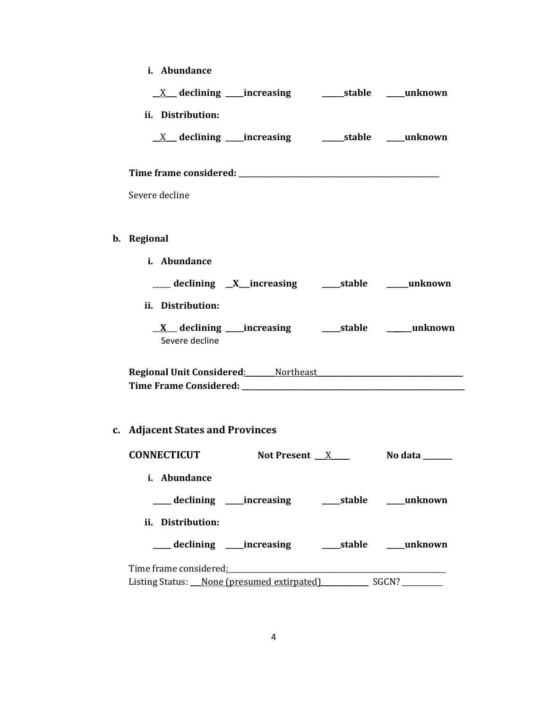| i. Abundance                                                                                                   |                                                                                                                                                                                                                                      |  |
|----------------------------------------------------------------------------------------------------------------|--------------------------------------------------------------------------------------------------------------------------------------------------------------------------------------------------------------------------------------|--|
|                                                                                                                |                                                                                                                                                                                                                                      |  |
| ii. Distribution:                                                                                              |                                                                                                                                                                                                                                      |  |
| <u>X</u> declining increasing and details the declining determined a stable the unknown                        |                                                                                                                                                                                                                                      |  |
|                                                                                                                |                                                                                                                                                                                                                                      |  |
| Severe decline                                                                                                 |                                                                                                                                                                                                                                      |  |
| b. Regional                                                                                                    |                                                                                                                                                                                                                                      |  |
| i. Abundance                                                                                                   |                                                                                                                                                                                                                                      |  |
|                                                                                                                |                                                                                                                                                                                                                                      |  |
| ii. Distribution:                                                                                              |                                                                                                                                                                                                                                      |  |
| Severe decline                                                                                                 |                                                                                                                                                                                                                                      |  |
| Regional Unit Considered: Mortheast Manual Annual Manual Annual Annual Annual Annual Annual Annual Annual Annu |                                                                                                                                                                                                                                      |  |
| c. Adjacent States and Provinces                                                                               |                                                                                                                                                                                                                                      |  |
| <b>CONNECTICUT</b>                                                                                             | Not Present $X$ No data $\frac{X}{X}$                                                                                                                                                                                                |  |
| i. Abundance                                                                                                   |                                                                                                                                                                                                                                      |  |
| ___ declining ____increasing ______stable ____unknown                                                          |                                                                                                                                                                                                                                      |  |
| ii. Distribution:                                                                                              |                                                                                                                                                                                                                                      |  |
| ___ declining ____increasing _______stable _____unknown                                                        |                                                                                                                                                                                                                                      |  |
| Time frame considered: Time frame considered:                                                                  | <u> 1989 - Johann John Harry Harry Harry Harry Harry Harry Harry Harry Harry Harry Harry Harry Harry Harry Harry Harry Harry Harry Harry Harry Harry Harry Harry Harry Harry Harry Harry Harry Harry Harry Harry Harry Harry Har</u> |  |
| Listing Status: None (presumed extirpated) SGCN?                                                               |                                                                                                                                                                                                                                      |  |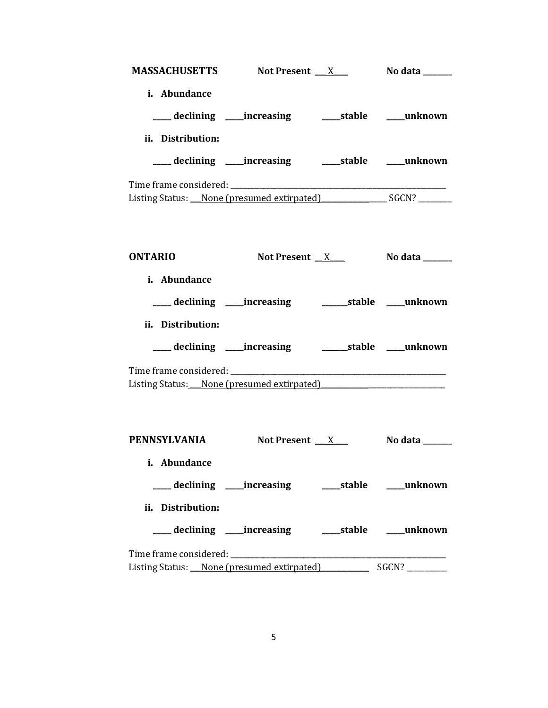| MASSACHUSETTS Not Present X                                                       |                                                            |  | No data _______                          |  |  |
|-----------------------------------------------------------------------------------|------------------------------------------------------------|--|------------------------------------------|--|--|
| i. Abundance                                                                      |                                                            |  |                                          |  |  |
|                                                                                   |                                                            |  |                                          |  |  |
|                                                                                   | ___ declining ___ increasing ____ stable ___ unknown       |  |                                          |  |  |
| ii. Distribution:                                                                 |                                                            |  |                                          |  |  |
|                                                                                   | ___ declining ____ increasing ______ stable ____ unknown   |  |                                          |  |  |
|                                                                                   |                                                            |  |                                          |  |  |
| Listing Status: None (presumed extirpated) SGCN? ________________________________ |                                                            |  |                                          |  |  |
|                                                                                   |                                                            |  |                                          |  |  |
|                                                                                   |                                                            |  |                                          |  |  |
| <b>ONTARIO</b>                                                                    | Not Present $X$                                            |  | No data ______                           |  |  |
| i. Abundance                                                                      |                                                            |  |                                          |  |  |
|                                                                                   | ___ declining ____increasing ___________stable ____unknown |  |                                          |  |  |
|                                                                                   |                                                            |  |                                          |  |  |
| ii. Distribution:                                                                 |                                                            |  |                                          |  |  |
|                                                                                   | ___ declining ____increasing ___________stable ____unknown |  |                                          |  |  |
|                                                                                   |                                                            |  |                                          |  |  |
| Listing Status: None (presumed extirpated)                                        |                                                            |  |                                          |  |  |
|                                                                                   |                                                            |  |                                          |  |  |
|                                                                                   |                                                            |  |                                          |  |  |
| PENNSYLVANIA                                                                      | Not Present X                                              |  | No data $\_\_\_\_\_\_\_\_\_\_\_\_\_\_\_$ |  |  |
| i. Abundance                                                                      |                                                            |  |                                          |  |  |
|                                                                                   | ___ declining ____ increasing ______ stable _____ unknown  |  |                                          |  |  |
| ii. Distribution:                                                                 |                                                            |  |                                          |  |  |
|                                                                                   |                                                            |  |                                          |  |  |
|                                                                                   | ___declining ___increasing _____stable ____unknown         |  |                                          |  |  |
|                                                                                   |                                                            |  |                                          |  |  |
| Listing Status: None (presumed extirpated) SGCN? ________                         |                                                            |  |                                          |  |  |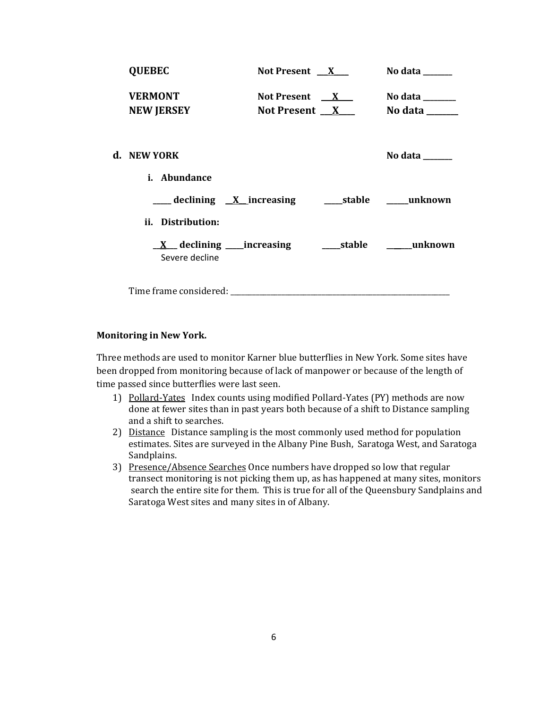| <b>QUEBEC</b>                                                                                                                                                                                                                  | Not Present $X$     | No data ______                                                              |
|--------------------------------------------------------------------------------------------------------------------------------------------------------------------------------------------------------------------------------|---------------------|-----------------------------------------------------------------------------|
| <b>VERMONT</b>                                                                                                                                                                                                                 | Not Present $X$     | No data $\frac{1}{\sqrt{1-\frac{1}{2}}\cdot\frac{1}{\sqrt{1-\frac{1}{2}}}}$ |
| <b>NEW JERSEY</b>                                                                                                                                                                                                              | Not Present $X_{-}$ | No data ______                                                              |
|                                                                                                                                                                                                                                |                     |                                                                             |
| d. NEW YORK                                                                                                                                                                                                                    |                     | No data $\frac{1}{\sqrt{1-\frac{1}{2}}\cdot\frac{1}{\sqrt{1-\frac{1}{2}}}}$ |
| <i>i.</i> Abundance                                                                                                                                                                                                            |                     |                                                                             |
| ___ declining <u>X</u> increasing ______stable ______unknown                                                                                                                                                                   |                     |                                                                             |
| ii. Distribution:                                                                                                                                                                                                              |                     |                                                                             |
| $\underline{X}$ declining _____increasing<br>Severe decline                                                                                                                                                                    |                     | stable <b>manufature</b> <u>stable</u>                                      |
| Time frame considered: Time and the constant of the constant of the constant of the constant of the constant of the constant of the constant of the constant of the constant of the constant of the constant of the constant o |                     |                                                                             |

### **Monitoring in New York.**

Three methods are used to monitor Karner blue butterflies in New York. Some sites have been dropped from monitoring because of lack of manpower or because of the length of time passed since butterflies were last seen.

- 1) Pollard-Yates Index counts using modified Pollard-Yates (PY) methods are now done at fewer sites than in past years both because of a shift to Distance sampling and a shift to searches.
- 2) Distance Distance sampling is the most commonly used method for population estimates. Sites are surveyed in the Albany Pine Bush, Saratoga West, and Saratoga Sandplains.
- 3) Presence/Absence Searches Once numbers have dropped so low that regular transect monitoring is not picking them up, as has happened at many sites, monitors search the entire site for them. This is true for all of the Queensbury Sandplains and Saratoga West sites and many sites in of Albany.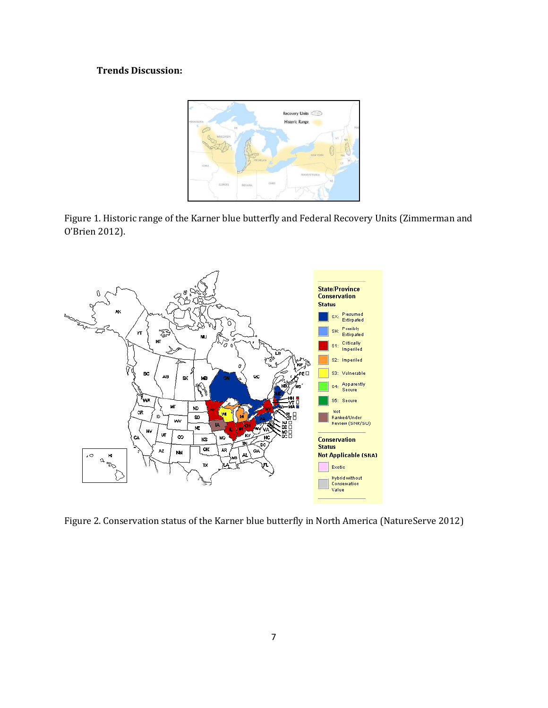# **Trends Discussion:**







Figure 2. Conservation status of the Karner blue butterfly in North America (NatureServe 2012)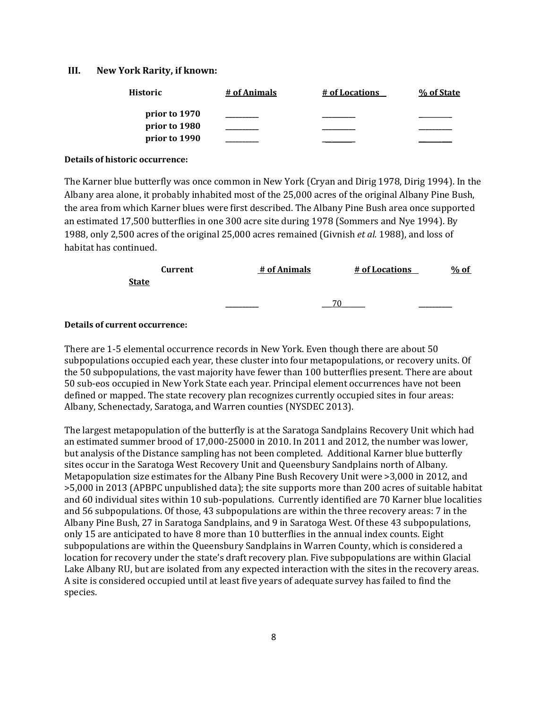#### **III. New York Rarity, if known:**

| Historic      | # of Animals | # of Locations | % of State |
|---------------|--------------|----------------|------------|
| prior to 1970 |              |                |            |
| prior to 1980 |              |                |            |
| prior to 1990 |              |                |            |

#### **Details of historic occurrence:**

The Karner blue butterfly was once common in New York (Cryan and Dirig 1978, Dirig 1994). In the Albany area alone, it probably inhabited most of the 25,000 acres of the original Albany Pine Bush, the area from which Karner blues were first described. The Albany Pine Bush area once supported an estimated 17,500 butterflies in one 300 acre site during 1978 (Sommers and Nye 1994). By 1988, only 2,500 acres of the original 25,000 acres remained (Givnish *et al.* 1988), and loss of habitat has continued.

|              | Current | # of Animals | # of Locations | % of              |  |
|--------------|---------|--------------|----------------|-------------------|--|
| <b>State</b> |         |              |                |                   |  |
|              |         | _________    |                | _________________ |  |

#### **Details of current occurrence:**

There are 1-5 elemental occurrence records in New York. Even though there are about 50 subpopulations occupied each year, these cluster into four metapopulations, or recovery units. Of the 50 subpopulations, the vast majority have fewer than 100 butterflies present. There are about 50 sub-eos occupied in New York State each year. Principal element occurrences have not been defined or mapped. The state recovery plan recognizes currently occupied sites in four areas: Albany, Schenectady, Saratoga, and Warren counties (NYSDEC 2013).

The largest metapopulation of the butterfly is at the Saratoga Sandplains Recovery Unit which had an estimated summer brood of 17,000-25000 in 2010. In 2011 and 2012, the number was lower, but analysis of the Distance sampling has not been completed. Additional Karner blue butterfly sites occur in the Saratoga West Recovery Unit and Queensbury Sandplains north of Albany. Metapopulation size estimates for the Albany Pine Bush Recovery Unit were >3,000 in 2012, and >5,000 in 2013 (APBPC unpublished data); the site supports more than 200 acres of suitable habitat and 60 individual sites within 10 sub-populations. Currently identified are 70 Karner blue localities and 56 subpopulations. Of those, 43 subpopulations are within the three recovery areas: 7 in the Albany Pine Bush, 27 in Saratoga Sandplains, and 9 in Saratoga West. Of these 43 subpopulations, only 15 are anticipated to have 8 more than 10 butterflies in the annual index counts. Eight subpopulations are within the Queensbury Sandplains in Warren County, which is considered a location for recovery under the state's draft recovery plan. Five subpopulations are within Glacial Lake Albany RU, but are isolated from any expected interaction with the sites in the recovery areas. A site is considered occupied until at least five years of adequate survey has failed to find the species.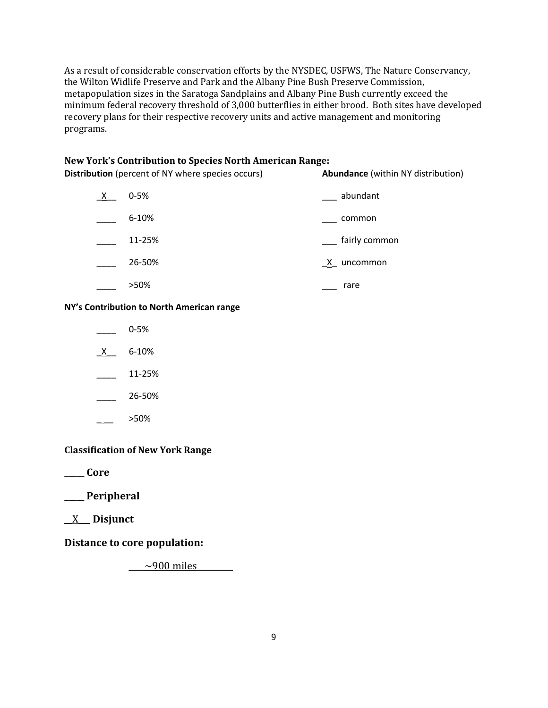As a result of considerable conservation efforts by the NYSDEC, USFWS, The Nature Conservancy, the Wilton Widlife Preserve and Park and the Albany Pine Bush Preserve Commission, metapopulation sizes in the Saratoga Sandplains and Albany Pine Bush currently exceed the minimum federal recovery threshold of 3,000 butterflies in either brood. Both sites have developed recovery plans for their respective recovery units and active management and monitoring programs.

### **New York's Contribution to Species North American Range:**

**Distribution** (percent of NY where species occurs) **Abundance** (within NY distribution)

| X. | $0 - 5%$ | abundant                 |
|----|----------|--------------------------|
|    | 6-10%    | common                   |
|    | 11-25%   | fairly common            |
|    | 26-50%   | $\mathsf{X}$<br>uncommon |
|    | >50%     | rare                     |

### **NY's Contribution to North American range**

|   | $0 - 5%$ |
|---|----------|
| x | 6-10%    |

\_\_\_\_ 11-25%

\_\_\_\_ 26-50%

\_ \_\_ >50%

# **Classification of New York Range**

**\_\_\_\_\_ Core**

# **\_\_\_\_\_ Peripheral**

\_\_X\_\_\_ **Disjunct**

**Distance to core population:**

 $\sim$ 900 miles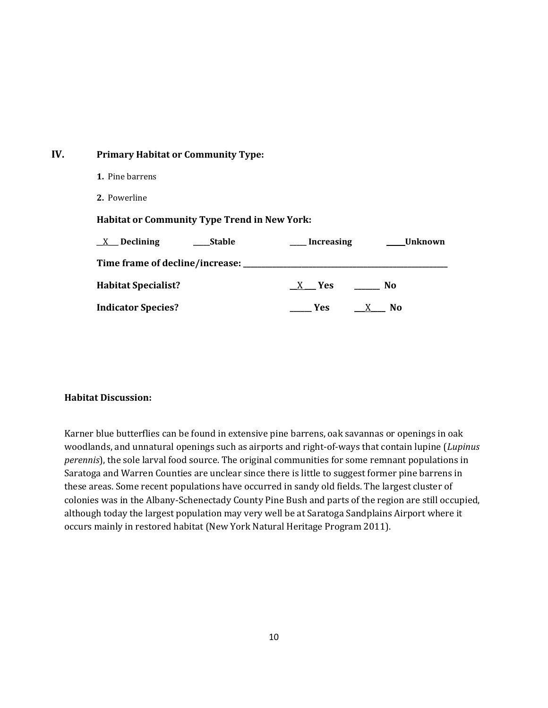# **IV. Primary Habitat or Community Type:**

- **1.** Pine barrens
- **2.** Powerline

## **Habitat or Community Type Trend in New York:**

| <b>Stable</b><br>$X$ Declining           | <b>Increasing</b> | Unknown        |
|------------------------------------------|-------------------|----------------|
| Time frame of decline/increase: ________ |                   |                |
| <b>Habitat Specialist?</b>               | X Yes             | No             |
| <b>Indicator Species?</b>                | Yes:<br>X         | N <sub>0</sub> |

# **Habitat Discussion:**

Karner blue butterflies can be found in extensive pine barrens, oak savannas or openings in oak woodlands, and unnatural openings such as airports and right-of-ways that contain lupine (*Lupinus perennis*), the sole larval food source. The original communities for some remnant populations in Saratoga and Warren Counties are unclear since there is little to suggest former pine barrens in these areas. Some recent populations have occurred in sandy old fields. The largest cluster of colonies was in the Albany-Schenectady County Pine Bush and parts of the region are still occupied, although today the largest population may very well be at Saratoga Sandplains Airport where it occurs mainly in restored habitat (New York Natural Heritage Program 2011).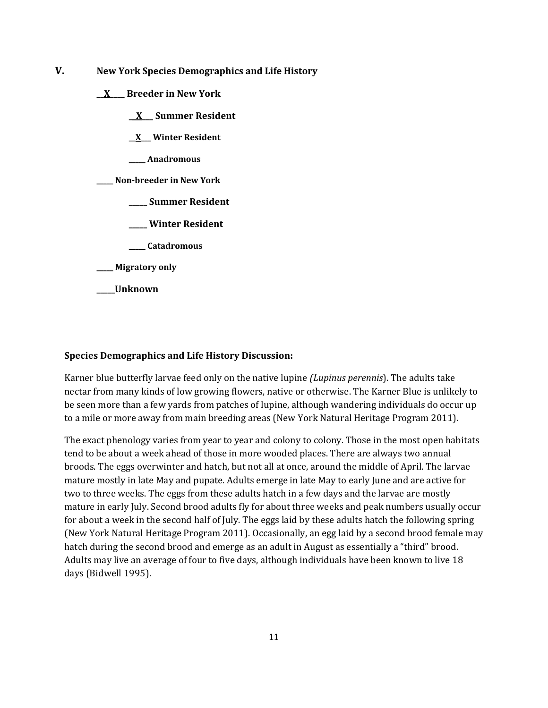- **V. New York Species Demographics and Life History**
	- **\_\_X\_\_\_\_ Breeder in New York**
		- **\_\_X\_\_\_ Summer Resident**
		- **\_\_X\_\_\_ Winter Resident**
		- **\_\_\_\_\_ Anadromous**

**\_\_\_\_\_ Non-breeder in New York**

- **\_\_\_\_\_ Summer Resident**
- **\_\_\_\_\_ Winter Resident**
- **\_\_\_\_\_ Catadromous**
- **\_\_\_\_\_ Migratory only**
- **\_\_\_\_\_Unknown**

#### **Species Demographics and Life History Discussion:**

Karner blue butterfly larvae feed only on the native lupine *(Lupinus perennis*). The adults take nectar from many kinds of low growing flowers, native or otherwise. The Karner Blue is unlikely to be seen more than a few yards from patches of lupine, although wandering individuals do occur up to a mile or more away from main breeding areas (New York Natural Heritage Program 2011).

The exact phenology varies from year to year and colony to colony. Those in the most open habitats tend to be about a week ahead of those in more wooded places. There are always two annual broods. The eggs overwinter and hatch, but not all at once, around the middle of April. The larvae mature mostly in late May and pupate. Adults emerge in late May to early June and are active for two to three weeks. The eggs from these adults hatch in a few days and the larvae are mostly mature in early July. Second brood adults fly for about three weeks and peak numbers usually occur for about a week in the second half of July. The eggs laid by these adults hatch the following spring (New York Natural Heritage Program 2011). Occasionally, an egg laid by a second brood female may hatch during the second brood and emerge as an adult in August as essentially a "third" brood. Adults may live an average of four to five days, although individuals have been known to live 18 days (Bidwell 1995).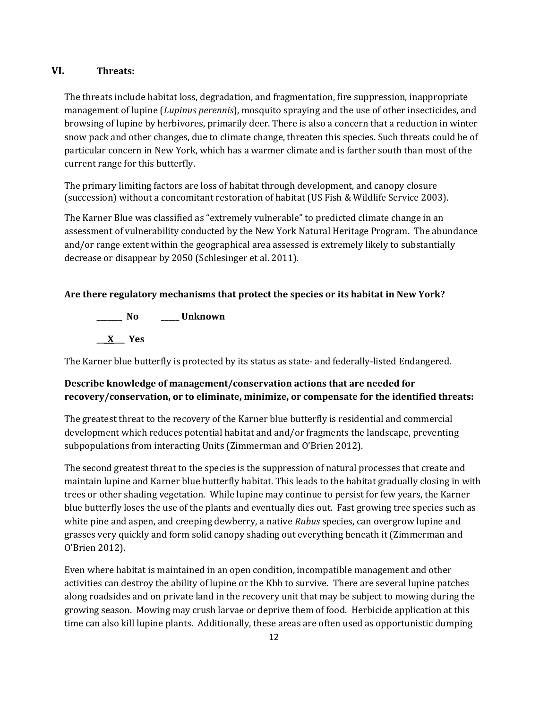# **VI. Threats:**

The threats include habitat loss, degradation, and fragmentation, fire suppression, inappropriate management of lupine (*Lupinus perennis*), mosquito spraying and the use of other insecticides, and browsing of lupine by herbivores, primarily deer. There is also a concern that a reduction in winter snow pack and other changes, due to climate change, threaten this species. Such threats could be of particular concern in New York, which has a warmer climate and is farther south than most of the current range for this butterfly.

The primary limiting factors are loss of habitat through development, and canopy closure (succession) without a concomitant restoration of habitat (US Fish & Wildlife Service 2003).

The Karner Blue was classified as "extremely vulnerable" to predicted climate change in an assessment of vulnerability conducted by the New York Natural Heritage Program. The abundance and/or range extent within the geographical area assessed is extremely likely to substantially decrease or disappear by 2050 (Schlesinger et al. 2011).

# **Are there regulatory mechanisms that protect the species or its habitat in New York?**

**\_\_\_\_\_\_\_ No \_\_\_\_\_ Unknown \_\_\_X\_\_\_ Yes**

The Karner blue butterfly is protected by its status as state- and federally-listed Endangered.

# **Describe knowledge of management/conservation actions that are needed for recovery/conservation, or to eliminate, minimize, or compensate for the identified threats:**

The greatest threat to the recovery of the Karner blue butterfly is residential and commercial development which reduces potential habitat and and/or fragments the landscape, preventing subpopulations from interacting Units (Zimmerman and O'Brien 2012).

The second greatest threat to the species is the suppression of natural processes that create and maintain lupine and Karner blue butterfly habitat. This leads to the habitat gradually closing in with trees or other shading vegetation. While lupine may continue to persist for few years, the Karner blue butterfly loses the use of the plants and eventually dies out. Fast growing tree species such as white pine and aspen, and creeping dewberry, a native *Rubus* species, can overgrow lupine and grasses very quickly and form solid canopy shading out everything beneath it (Zimmerman and O'Brien 2012).

Even where habitat is maintained in an open condition, incompatible management and other activities can destroy the ability of lupine or the Kbb to survive. There are several lupine patches along roadsides and on private land in the recovery unit that may be subject to mowing during the growing season. Mowing may crush larvae or deprive them of food. Herbicide application at this time can also kill lupine plants. Additionally, these areas are often used as opportunistic dumping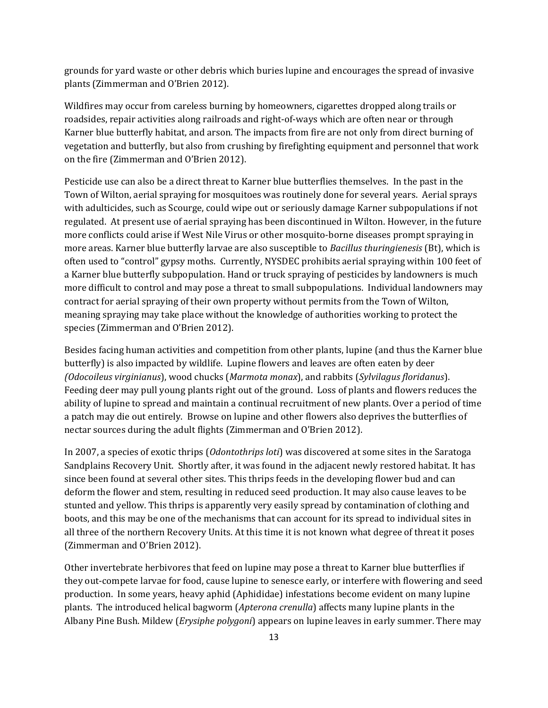grounds for yard waste or other debris which buries lupine and encourages the spread of invasive plants (Zimmerman and O'Brien 2012).

Wildfires may occur from careless burning by homeowners, cigarettes dropped along trails or roadsides, repair activities along railroads and right-of-ways which are often near or through Karner blue butterfly habitat, and arson. The impacts from fire are not only from direct burning of vegetation and butterfly, but also from crushing by firefighting equipment and personnel that work on the fire (Zimmerman and O'Brien 2012).

Pesticide use can also be a direct threat to Karner blue butterflies themselves. In the past in the Town of Wilton, aerial spraying for mosquitoes was routinely done for several years. Aerial sprays with adulticides, such as Scourge, could wipe out or seriously damage Karner subpopulations if not regulated. At present use of aerial spraying has been discontinued in Wilton. However, in the future more conflicts could arise if West Nile Virus or other mosquito-borne diseases prompt spraying in more areas. Karner blue butterfly larvae are also susceptible to *Bacillus thuringienesis* (Bt), which is often used to "control" gypsy moths. Currently, NYSDEC prohibits aerial spraying within 100 feet of a Karner blue butterfly subpopulation. Hand or truck spraying of pesticides by landowners is much more difficult to control and may pose a threat to small subpopulations. Individual landowners may contract for aerial spraying of their own property without permits from the Town of Wilton, meaning spraying may take place without the knowledge of authorities working to protect the species (Zimmerman and O'Brien 2012).

Besides facing human activities and competition from other plants, lupine (and thus the Karner blue butterfly) is also impacted by wildlife. Lupine flowers and leaves are often eaten by deer *(Odocoileus virginianus*), wood chucks (*Marmota monax*), and rabbits (*Sylvilagus floridanus*). Feeding deer may pull young plants right out of the ground. Loss of plants and flowers reduces the ability of lupine to spread and maintain a continual recruitment of new plants. Over a period of time a patch may die out entirely. Browse on lupine and other flowers also deprives the butterflies of nectar sources during the adult flights (Zimmerman and O'Brien 2012).

In 2007, a species of exotic thrips (*Odontothrips loti*) was discovered at some sites in the Saratoga Sandplains Recovery Unit. Shortly after, it was found in the adjacent newly restored habitat. It has since been found at several other sites. This thrips feeds in the developing flower bud and can deform the flower and stem, resulting in reduced seed production. It may also cause leaves to be stunted and yellow. This thrips is apparently very easily spread by contamination of clothing and boots, and this may be one of the mechanisms that can account for its spread to individual sites in all three of the northern Recovery Units. At this time it is not known what degree of threat it poses (Zimmerman and O'Brien 2012).

Other invertebrate herbivores that feed on lupine may pose a threat to Karner blue butterflies if they out-compete larvae for food, cause lupine to senesce early, or interfere with flowering and seed production. In some years, heavy aphid (Aphididae) infestations become evident on many lupine plants. The introduced helical bagworm (*Apterona crenulla*) affects many lupine plants in the Albany Pine Bush. Mildew (*Erysiphe polygoni*) appears on lupine leaves in early summer. There may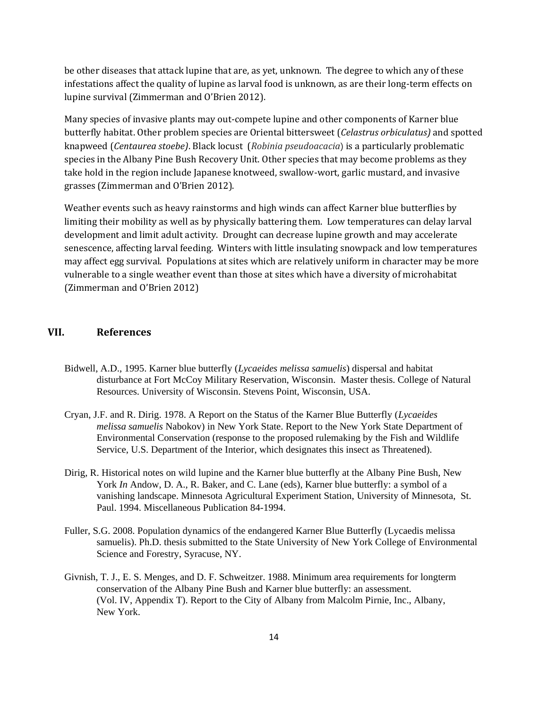be other diseases that attack lupine that are, as yet, unknown. The degree to which any of these infestations affect the quality of lupine as larval food is unknown, as are their long-term effects on lupine survival (Zimmerman and O'Brien 2012).

Many species of invasive plants may out-compete lupine and other components of Karner blue butterfly habitat. Other problem species are Oriental bittersweet (*Celastrus orbiculatus)* and spotted knapweed (*Centaurea stoebe)*. Black locust (*Robinia pseudoacacia*) is a particularly problematic species in the Albany Pine Bush Recovery Unit. Other species that may become problems as they take hold in the region include Japanese knotweed, swallow-wort, garlic mustard, and invasive grasses (Zimmerman and O'Brien 2012).

Weather events such as heavy rainstorms and high winds can affect Karner blue butterflies by limiting their mobility as well as by physically battering them. Low temperatures can delay larval development and limit adult activity. Drought can decrease lupine growth and may accelerate senescence, affecting larval feeding. Winters with little insulating snowpack and low temperatures may affect egg survival. Populations at sites which are relatively uniform in character may be more vulnerable to a single weather event than those at sites which have a diversity of microhabitat (Zimmerman and O'Brien 2012)

#### **VII. References**

- Bidwell, A.D., 1995. Karner blue butterfly (*Lycaeides melissa samuelis*) dispersal and habitat disturbance at Fort McCoy Military Reservation, Wisconsin. Master thesis. College of Natural Resources. University of Wisconsin. Stevens Point, Wisconsin, USA.
- Cryan, J.F. and R. Dirig. 1978. A Report on the Status of the Karner Blue Butterfly (*Lycaeides melissa samuelis* Nabokov) in New York State. Report to the New York State Department of Environmental Conservation (response to the proposed rulemaking by the Fish and Wildlife Service, U.S. Department of the Interior, which designates this insect as Threatened).
- Dirig, R. Historical notes on wild lupine and the Karner blue butterfly at the Albany Pine Bush, New York *In* Andow, D. A., R. Baker, and C. Lane (eds), Karner blue butterfly: a symbol of a vanishing landscape. Minnesota Agricultural Experiment Station, University of Minnesota, St. Paul. 1994. Miscellaneous Publication 84-1994.
- Fuller, S.G. 2008. Population dynamics of the endangered Karner Blue Butterfly (Lycaedis melissa samuelis). Ph.D. thesis submitted to the State University of New York College of Environmental Science and Forestry, Syracuse, NY.
- Givnish, T. J., E. S. Menges, and D. F. Schweitzer. 1988. Minimum area requirements for longterm conservation of the Albany Pine Bush and Karner blue butterfly: an assessment. (Vol. IV, Appendix T). Report to the City of Albany from Malcolm Pirnie, Inc., Albany, New York.